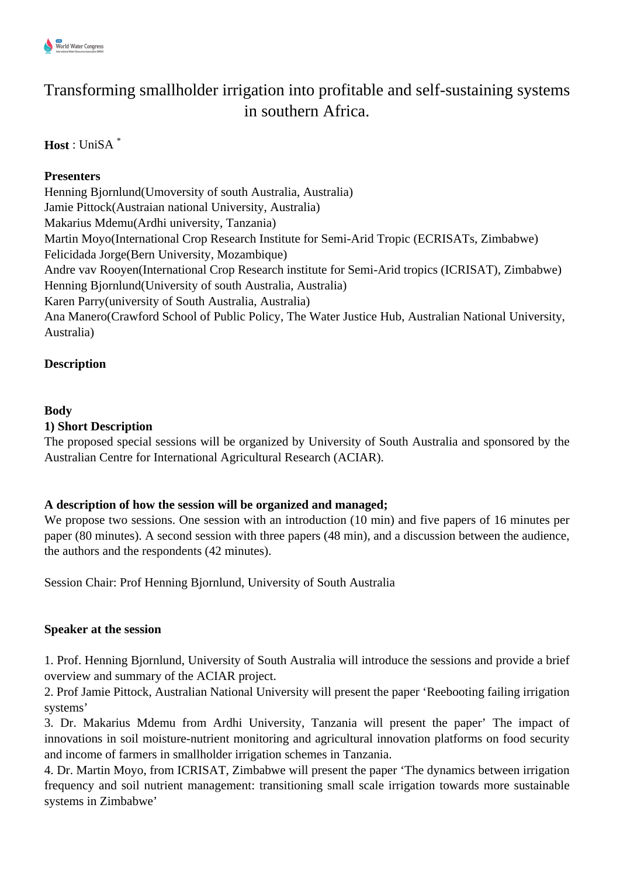

# Transforming smallholder irrigation into profitable and self-sustaining systems in southern Africa.

## **Host** : UniSA \*

## **Presenters**

Henning Bjornlund(Umoversity of south Australia, Australia) Jamie Pittock(Austraian national University, Australia) Makarius Mdemu(Ardhi university, Tanzania) Martin Moyo(International Crop Research Institute for Semi-Arid Tropic (ECRISATs, Zimbabwe) Felicidada Jorge(Bern University, Mozambique) Andre vav Rooyen(International Crop Research institute for Semi-Arid tropics (ICRISAT), Zimbabwe) Henning Bjornlund(University of south Australia, Australia) Karen Parry(university of South Australia, Australia) Ana Manero(Crawford School of Public Policy, The Water Justice Hub, Australian National University, Australia)

## **Description**

#### **Body**

## **1) Short Description**

The proposed special sessions will be organized by University of South Australia and sponsored by the Australian Centre for International Agricultural Research (ACIAR).

## **A description of how the session will be organized and managed;**

We propose two sessions. One session with an introduction (10 min) and five papers of 16 minutes per paper (80 minutes). A second session with three papers (48 min), and a discussion between the audience, the authors and the respondents (42 minutes).

Session Chair: Prof Henning Bjornlund, University of South Australia

## **Speaker at the session**

1. Prof. Henning Bjornlund, University of South Australia will introduce the sessions and provide a brief overview and summary of the ACIAR project.

2. Prof Jamie Pittock, Australian National University will present the paper 'Reebooting failing irrigation systems'

3. Dr. Makarius Mdemu from Ardhi University, Tanzania will present the paper' The impact of innovations in soil moisture-nutrient monitoring and agricultural innovation platforms on food security and income of farmers in smallholder irrigation schemes in Tanzania.

4. Dr. Martin Moyo, from ICRISAT, Zimbabwe will present the paper 'The dynamics between irrigation frequency and soil nutrient management: transitioning small scale irrigation towards more sustainable systems in Zimbabwe'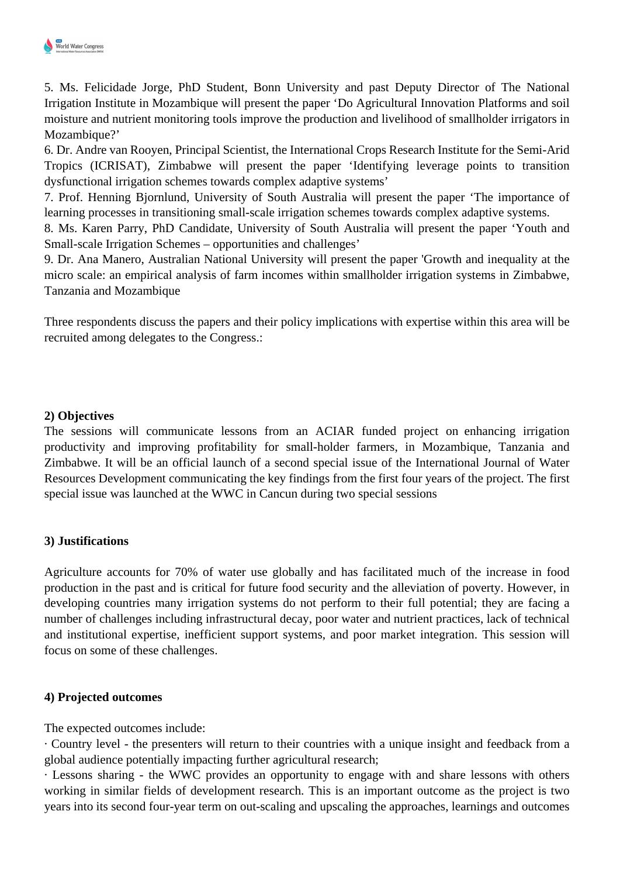

5. Ms. Felicidade Jorge, PhD Student, Bonn University and past Deputy Director of The National Irrigation Institute in Mozambique will present the paper 'Do Agricultural Innovation Platforms and soil moisture and nutrient monitoring tools improve the production and livelihood of smallholder irrigators in Mozambique?'

6. Dr. Andre van Rooyen, Principal Scientist, the International Crops Research Institute for the Semi-Arid Tropics (ICRISAT), Zimbabwe will present the paper 'Identifying leverage points to transition dysfunctional irrigation schemes towards complex adaptive systems'

7. Prof. Henning Bjornlund, University of South Australia will present the paper 'The importance of learning processes in transitioning small-scale irrigation schemes towards complex adaptive systems.

8. Ms. Karen Parry, PhD Candidate, University of South Australia will present the paper 'Youth and Small-scale Irrigation Schemes – opportunities and challenges'

9. Dr. Ana Manero, Australian National University will present the paper 'Growth and inequality at the micro scale: an empirical analysis of farm incomes within smallholder irrigation systems in Zimbabwe, Tanzania and Mozambique

Three respondents discuss the papers and their policy implications with expertise within this area will be recruited among delegates to the Congress.:

#### **2) Objectives**

The sessions will communicate lessons from an ACIAR funded project on enhancing irrigation productivity and improving profitability for small-holder farmers, in Mozambique, Tanzania and Zimbabwe. It will be an official launch of a second special issue of the International Journal of Water Resources Development communicating the key findings from the first four years of the project. The first special issue was launched at the WWC in Cancun during two special sessions

#### **3) Justifications**

Agriculture accounts for 70% of water use globally and has facilitated much of the increase in food production in the past and is critical for future food security and the alleviation of poverty. However, in developing countries many irrigation systems do not perform to their full potential; they are facing a number of challenges including infrastructural decay, poor water and nutrient practices, lack of technical and institutional expertise, inefficient support systems, and poor market integration. This session will focus on some of these challenges.

#### **4) Projected outcomes**

The expected outcomes include:

· Country level - the presenters will return to their countries with a unique insight and feedback from a global audience potentially impacting further agricultural research;

· Lessons sharing - the WWC provides an opportunity to engage with and share lessons with others working in similar fields of development research. This is an important outcome as the project is two years into its second four-year term on out-scaling and upscaling the approaches, learnings and outcomes